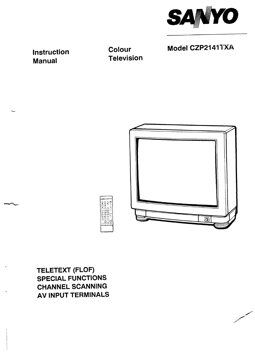

**Model CZP2141TXA** 

**Instruction Manual**

**L**

**Colour Television**



**TELETEXT (FLOF) SPECIAL FUNCTIONS CHANNEL SCANNING AV INPUT TERMINALS**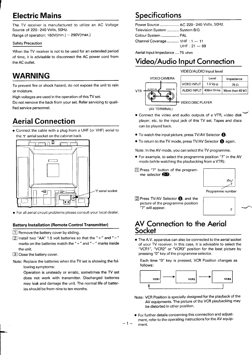# **Electric Mains Specifications**

**The TV receiver is manufactured to utilize an AC Voltage Source of 220,-240 Volts, 50 Hz. Range of operation: 160V(min.) – 290V(maX.)**

### **Safetv Precaution**

**When the TV receiver is not to be used for an extended period of time, it is advisable to disconnect the AC power cord from the AC outlet.**

# **WARNING**

**To prevent fire or shock hazard, do not expose the unit to rain or moisture.**

**High voltages are used in the operation of this TV set.**

**Do not remove the back from your set. Refer servicing to qualified service personnel.**

# **Aerial Connection**

● **Connect the cable with a plug from a UHF (or VHF) aerial to the T aerial socket on the cabinet back.**



● **For all aerial circuit problems please consult your local dealer.**

### **Battery Installation (Remote Control Transmitter)**

❑ **Remove the battery cover by sliding.**

❑ **Install two "AA" 1.5 volt batteries so that the "+" and " -" marks on the batteries match the"+" and" –" marks inside the unit.**

❑ **Close the battery cover.**

**Note: Replace the batteries when the TV set is showing the following symptoms:**

**Operation is unsteady or erratic, sometimes the TV set does not work with transmitter. Discharged batteries may leak and damage the unit. The normal life of batteries should be from nine to ten months.**

**Power Source. ..................AC 220-240 Volts, 50 Hz. Television System ............ System B/G Colour System .................. PAL Channel Coverage ........... VHF :1 – 11 UHF :21 — 69**

**Aerial Input Impedance ....75 ohm**

# **Video/Audio Input Connection**

**VIDEO/AUDIO Input level**



|  |                       | Level      | Impedance               |
|--|-----------------------|------------|-------------------------|
|  | <b>VIDEO INPUT</b>    | $1.0 Vp-p$ | 75 Ω                    |
|  | AUDIO INPUT 436m Vrms |            | More than 40 k $\Omega$ |
|  |                       |            |                         |

**(AV TERMINAL)**

- **e'** ● **connect the video and audio outputs of a VTR, video disk player, etc. to the input jack of this TV set. Tapes and discs can be played back.**
- **. To watch the input picture, press TVIAV Selector o.**
- **TO return to the TV mode, press TV/AV Selector ~ again.**

**Note: In the AV mode, you can select the TV programme.**

- **. For example, to select the programme position "7" in the AV mode (while watching the play backing from a VTR):**
- ❑ **Press "7" button of the programme selector ~.**



**Programme number**

**n**

❑ **Press TV/AV Selector o, and the picture of the programme position "7" will appear.**



# **AV Connection to the Aerial Socket**

**sThe A.V. apparatus can also be connected to the aerial socket of your TV receiver. In this case, it is advisable to select the "VCRI ", "VCR2" or "VCR3" position for the best picture by pressing "O" key of the program me selector.**

**Each time "O" key is pressed, VCR Position changes as follows:**



- **Note: VCR Position is specially designed for the playback of the AV equipments. The picture of the VCR play backing may be distorted in other position.**
- **. For further details concerning this connection and adjustment, refer to the operating instructions for the AV equip-** –l– **ment.**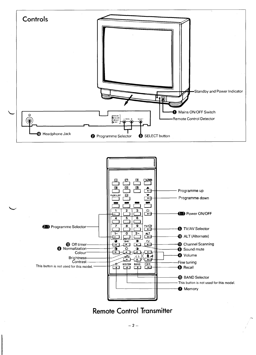





 $-2-$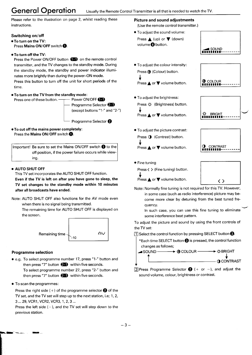# **General Operation Usually the Remote Control Transmitter is all that is needed to watch the TV.**

**Please refer to the illustration on page 2, whilst reading these instructions.**

### **Switching on/off**

- ●**To** turn on the TV: **Press Mains ON/OFF switch ~.**
- To turn off the TV:

**Press the Power ON/OFF button ~ on the remote control transmitter, and the TV changes to the standby mode. During the standby mode, the standby and power indicator illuminates more brightly than during the power–ON mode. Press this button to turn off the unit for short periods of the time.**

**.** To **turn on the TV from the standby mode:**

**Press one of these button. Power ON/OFF** 

**Programme Selector ~ (except buttons"1 -" and "2-")**

**L Programme Selector ~**

●TO cut off the mains power completely: **Press the** Mains ON/OFF **switch ~.**

**Important! Be sure to set the Mains ON/OFF switch ~ to the off position, if the power failure occurs while viewing.**

#### ● AUTO SHUT OFF

**This TV set incorporates the AUTO SHUT OFF function. Even** if the TV **is left on after you have gone to sleep, the TV set changes to the standby mode within 10 minutes after all broadcasts have ended.**

**Note: AUTO SHUT OFF also functions for the AV mode even when there is no signal being transmitted.**

**The remaining time for AUTO SHUT OFF is displayed on the screen.**



### **Programme selection**

● **e.g. TO select programme number 17, press "l-" button and then press "7" button ~ within five seconds. To select programme number 27, press "2-" button and then press "7" button ~ within five seconds.**

● **TO scan the programmed:**

**Press the right side ( + ) of the programme selector ~ of the TV set, and the TV set will step up to the next station, i.e; 1,2, 3...29, VCRI, VCR2, VCR3, 1,2,3 ...**

**Press the left side ( –), and the TV set will step down to the previous station.**

### **Picture and sound adjustments**

**(Use the remote control transmitter.)**

- **To adjust the sound volume: Press A (up) or ~ (down)** volume<sup>O</sup> button.
- **To adjust the colour intensity: Press @ (Colour) button. + Press A or ~ volume button.**
- **. TO adjust the brightness: Press @. (Brightness) button. + Press A or ~ volume button.**
- **. To adjust the picture contrast: Press**  $\bigodot$  (Contrast) button. **+ Press A or ~ volume button.**









**u**

**. Fine tuning Press < > (Fine tuning) button.** 1**<sup>I</sup>** <>**<sup>1</sup> Note: Normally fine tuning is not required for this TV. However,**

**+ Press A or ~ volume button.**

- 
- **in some case (such as radio interference) picture may become more clear by detuning from the best tuned frequency.**

**In such case, you can use this fine tuning to eliminate some interference beat pattern.**

**To adjust the picture and sound by using the front controls of the TV set:**

❑ **Select the control function by pressing SELECT button o.**

**\*Each time SELECT button ~ is pressed, the control function changes as follows;**



**sound volume, colour, brightness or contrast.**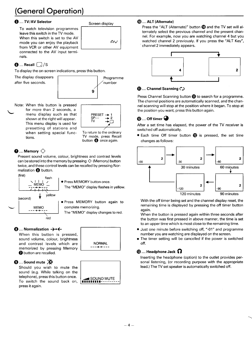# **(General Operation)**

# <sup>~</sup> .... **TVIAV** Selector **Screen display**

**To watch television programmed leave this switch in the TV mode. When this switch is set to the AV mode you can enjoy the playback from VCR or other AV equipment connected to the AV input terminals.**



# $\bigcirc$  .... Recall  $\bigcap$ /S

**To display the on-screen indications, press this button.**

**D**

**The display disappears**



**PRESE**  $\overline{SP}$ **Tv +~**

**m**

**Note: When this button is pressed for more than 2 seconds, a menu display such as that shown at the right will appear. This menu display is used for presetting of stations and when setting special functions.**

PRE<br>
SP-<br>
TV<br>
T **To return to the ordinary TV mode, press Recall button ~ once again.**

**M**

# $\bm{Q}$  .... Memory  $\bigtriangleup$

**L**

**Present sound volume, colour, brightness and contrast levels can be stored into the memory by pressing O (Memory) button twice, and these control levels can be recalled by pressing Normalization ~ button.**



● press MEMORY button once. **The "MEMO" display flashes in yellow.**

● **Press MEMORY button again to** complete memorizing.

**The "MEMO" display changes to red.**

### **<sup>1</sup> ....** Normalization →  $\div$

**When this button is pressed, sound volume, colour, brightness and contrast levels which are memorized by pressing Memory ~ button are recalled.**

# **0 .... Sound mute ~**

**Should you wish to mute the sound (e.g. While talking on the telephone), press this button once. To switch the sound back on, press it again.**



**--- ++---**

## ~ .... ALT (Alternate)

**Press the "ALT (Alternate)" button @ and the TV set will alternately select the previous channel and the present channel. For example, now you are watching channel 4 but you watched channel 2 previously. If you press the "ALT Key", channel 2 immediately appears.**



### **@ .... Channel Scanning C>**

**Press Channel Scanning button @to search for a programme. The channel positions are automatically scanned, and the channel scanning will stop at the position where it began. To stop at the position you want, press this button again.**

# $\mathbf{\Theta}$  .... Off timer  $\mathbf{\Theta}$

**After a set time has elapsed, the power of the TV receiver is**  $s$ witched off automatically.

**. Each time Off timer button @ is pressed, the set time changes as follows:**



**With the off timer being set and the channel display reset, the remaining time is displayed by pressing the off timer button again.**

**When the button is pressed again within three seconds after the button was first pressed in above manner, the time is set to an upper time which is most close to the remaining time.**

- **Just one minute before switching off, ".01" and programme number you are watching are displayed on the screen.**
- **The timer setting will be cancelled if the power is switched off.**

# **@ ....** Headphone Jack ~

**Inserting the headphone (option) to the outlet provides personal listening, (or recording purpose with the appropriate lead.) The TV set speaker is automatically switched off.**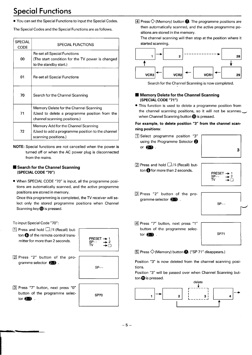# **Special Functions**

- **YOU can set the Special Functions to input the Special Codes.**
- **The Special Codes and the Special Functions are as follows.**

| <b>SPECIAL</b><br>CODE | SPECIAL FUNCTIONS                                                                                                       |
|------------------------|-------------------------------------------------------------------------------------------------------------------------|
| 00                     | Re-set all Special Functions<br>(The start condition for the TV power is changed<br>to the standby start.)              |
| 01                     | Re-set all Special Functions                                                                                            |
| 70                     | Search for the Channel Scanning                                                                                         |
| 71                     | Memory Delete for the Channel Scanning<br>(Used to delete a programme position from the<br>channel scanning positions.) |
| 72                     | Memory Add for the Channel Scanning<br>(Used to add a programme position to the channel<br>scanning positions.)         |

NOTE: **Special functions are not cancelled when the power is turned off or when the AC power plug is disconnected from the mains.**

### ■**Search for the Channel Scanning (SPECIAL CODE "70)**

**. When SPECIAL CODE "70" is input, all the programme positions are automatically scanned, and the active programme positions are stored in memory.**

**Once this programming is completed, the TV receiver will select only the stored programme positions when Channel Scanning key~ is pressed.**

**To input Special Code "70":**

❑ **Press and hold ~/s (Recall) button ~ of the remote control transmitter for more than 2 seconds.**



❑ **Press "2" button of the programme selector ~ .**



❑ **Press "7" button, next press "O" button of the programme selec tor ~**

❑ **Press <sup>O</sup> (Memory) button ~. The programme positions are then automatically scanned, and the active programme positions are stored in the memory.**

**The channel scanning will then stop at the position where it started scanning.**



**Search for the Channel Scanning is now completed.**

### ■ **Memory Delete for the Channel Scanning (SPECIAL CODE "71")**

**. This function is used to delete a programme position from the channel scanning positions, so it will not be scannea+ when Channel Scanning button @is pressed.**

### For example, to delete position "3" from the channel scanning positions:

❑ **Select programme position "3" using the Programme Selector O** or $\bullet$ .



❑ **Press and hold ~/S (Recall) button ~for more than 2 seconds.**



❑ **Press "2" button of the programme selector ~ .**



❑ **Press "7" button, next press "1" button of the programme selec tor ~**



❑ **Press O(Memory) button ~. ("SP 71" disappears.)**

**Position "3 is now deleted from the channel scanning positions.**

**Position "3 will be passed over when Channel Scanning button @is pressed.**

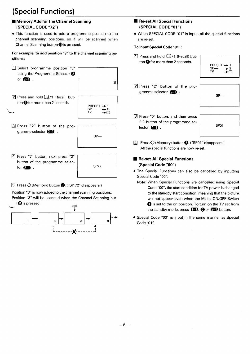# **(Special Functions)**

# **9 Memory Add for the Channel Scanning (SPECIAL CODE "72")**

● **This function is used to add a programme position to the channel scanning positions, so it will be scanned when Channel Scanning button @is pressed.**

For example, to add position "3" to the channel scanning positions:

•I **Select programme position "3" using the Programme Selector ~** or $\mathbf{E}$ .



❑ **Press and hold <sup>D</sup> /S (Recall) button @for more than 2 seconds.**



**m**

**m**

**n**

❑ **Press "2" button of the pro gramme selector ~ .**

| $SP--$ |  |
|--------|--|
|        |  |

❑ **Press "7" button, next press "2" button of the programme selector ~ .**

❑ **Press O(Memory) button ~. ("SP 72" disappears.)**

**Position "3" is now added to the channel scanning positions. Position "3" will be scanned when the Channel Scanning but-**



# **9 Re-set All Special Functions (SPECIAL CODE "01")**

● **When SPECIAL CODE "01" is input, all the special functions are re-set.**

### To input Special Code "01":

❑ **Press and hold ~/S (Recall) button Ofor more than 2 seconds.**

| PRESET $\rightarrow$<br>$SP-$<br>TV | $\mathbf{E}$<br>→ |
|-------------------------------------|-------------------|
|                                     |                   |

EI **Press "2" button of the programme selector ~ .**



**m**

**n**

•1 **Press "O" button, and then press "1" button of the program me selector 2** .

**SPO1**

❑ **Press O (Memory) button ~. ("SPO1" disappears.) All the special functions are now re-set.**

# ■ **Re-set** All **Special** Functions **(Special Code "00)**

- **The Special Functions can also be cancelled by inputting Special Code "00".**
	- **Note: When Special Functions are cancelied using Special Code "00", the start condition for TV power is changed to the standby start condition, meaning that the picture will not appear even when the Mains ON/OFF Switch O is set to the on position. To turn on the TV set from the standby mode, press ~, Qor ~ button.**
- **Special Code "00" is input in the same manner as Special**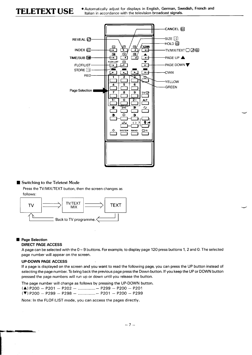

### ■ **Switching to the Teletext Mode**

**Press the TV/MIX/TEXT button, then the screen changes as follows:**



#### **Page Selection**

**r-"**

#### DIRECT PAGE ACCESS

A page can be selected with the  $0 \sim 9$  buttons. For example, to display page 120 press buttons 1, 2 and 0. The selected **page number will appear on the screen.**

#### **UP-DOWN PAGE** ACCESS

If a page is displayed on the screen and you want to read the following page, you can press the UP button instead of selecting the page number. To bring back the previous page press the Down button. If you keep the UP or DOWN button **pressed the page numbers will run up or down until you release the button.**

**The page number will change as follows by pressing the UP-DOWN button.**

| $(A)$ P200 - P201 - P202 -  P299 - P200 - P201        |  |
|-------------------------------------------------------|--|
| $(\nabla)$ P200 - P299 - P298 -  - P201 - P200 - P299 |  |

**Note: In the FLOF/LIST mode, you can access the pages directly.**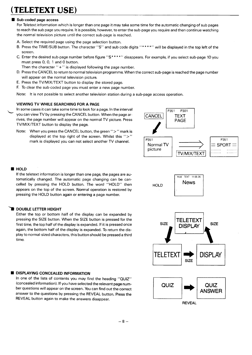# TELETEXT USE)

### Sub-coded page access

For Teletext information which is longer than one page it may take some time for the automatic changing of sub pages to reach the sub page you require. It is possible, however, to enter the sub-page you require and then continue watching **the normal television picture until the correct sub-page is reached.**

- **A. Select the required page using the page selection button.**
- B. Press the TIME/SUB button. The character "S" and sub code digits "\*\*\*\*" will be displayed in the top left of the **screen.**
- C. Enter the desired sub-page number before figure "S\*\*\*\*" disappears. For example, if you select sub-page 10 you **must press O, 0, 1 and O button.**
- **Then the character "+" is displayed following the page number.**
- D. Press the CANCEL to return to normal television programme. When the correct sub-page is reached the page number **will appear on the normal television picture.**
- **E. Press the TV/MIX/TEXT button to display the stored page.**
- **F. To clear the sub-coded page you must enter a new page number.**

**Note: It is not possible to select another television station during a sub-page access operation.**

#### VIEWING TV WHILE SEARCHING FOR A PAGE

**In some cases it can take some time to look for a page. In the interval you can view TV by pressing the CANCEL button. When the page arrives, the page number will appear on the normal TV picture. Press TV/MIX/TEXT button to display the page. k**

**Note: When you press the CANCEL button, the green ">" mark is f displayed at the top right of the screen. Whilst this ">" mark** is displayed you can not select another TV channel.<br>
Normal TV picture



#### **B**HOLD

**If the teletext information is longer than one page, the pages are automatically changed. The automatic page changing can be cancelled by pressing the HOLD button. The word "HOLD" then appears on the top of the screen. Normal operation is restored by pressing the HOLD button again or entering a page number.**

### **DOUBLE LETTER HEIGHT**

**Either the top or bottom half of the display can be expanded by pressing the SIZE button. When the SIZE button is pressed for the first time, the top half of the display is expanded. If it is pressed once again, the bottom half of the display is expanded. To return the display to normal-sized characters, this button should be pressed a third time.**

### **DISPLAYING CONCEALED INFORMATION**

**In one of the lists of contents you may find the heading "QUIZ" (concealed information). If you have selected the relevant page number questions will appear on the screen. You can find out the correct answer to the questions by pressing the REVEAL button. Press the REVEAL button again to make the answers disappear.**

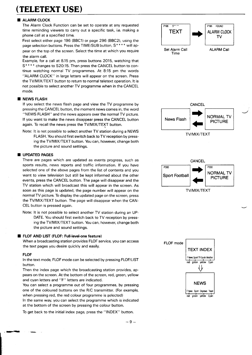# **(TELETEXTU=)**

#### **ALARM CLOCK**

**The Alarm Clock Function can be set to operate at any requested time** reminding viewers to carry out a specific task, i.e. making a TEXT **phone call at a specified time.**

**First select either page 196 (BBCI) or page 296 (BBC2), using the page selection buttons. Press the TIME/SUB button, S'\* \* \* will appear on the top of the screen. Select the time at which you require the alarm call.**

**Example, for a call at 8.15 pm, press buttons 2015, watching that S\*\* \* \* changes to S20:15. Then press the CANCEL button to continue watching normal TV programmed. At 8:15 pm the words "ALARM CLOCK" in large letters will appear on the screen. Press the TV/MIX/TEXT button to return to normal teletext operation. It is not possible to select another TV programme when in the CANCEL mode.**

#### **NEWS FLASH**

**If you select the news flash page and view the TV programme by pressing the CANCEL button, the moment news comes in, the word "NEWS FLASH" and the news appears over the normal TV picture. If you want to make the news disappear press the CANCEL button again. To recall the news press the TV/MIX/TEXT button.**

**Note:** It is not possible to select another TV station during a NEWS **FLASH. You should first switch back to TV reception by pressing the TV/MIX/TEXT button. You can, however, change both the picture and sound settings.**

#### **UPDATED PAGES**

**There are pages which are updated as events progress, such as sports results, news reports and traffic information. If you have selected one of the above pages from the list of contents and you want to view television but still be kept informed about the other events, press the CANCEL button. The page will disappear and the TV station which will broadcast this will appear in the screen. As soon as this page is updated, the page number will appear on the normal TV picture. To display the updated page on the screen, press the TV/MIX/TEXT button. The page will disappear when the CAN-CEL button is pressed again.**

**Note: It is not possible to select another TV station during an UP-DATE. You should first switch back to TV reception by pressing the TV/MIX/TEXT button. YOU can, however, change both the picture and sound settings.**

#### **FLOF AND LIST (FLOF: Full-level-one feature)**

**When a broadcasting station provides FLOF service, you can access the text pages you desire quickly and easily.**

#### **FLOF**

**—.**

**In the text mode, FLOF mode can be selected by pressing FLOF/LIST button.**

**Then the index page which the broadcasting station provides, appears on the screen. At the bottom of the screen, red, green, yellow and cyan letters and "F" letters are indicated.**

**You can select a programme out of four programmed, by pressing one of the coloured buttons on the R/C transmitter. (For example, when pressing red, the red colour programme is selected) In the same way, you can select the programme which is indicated at the bottom of the screen by pressing the colour button.**

**To get back to the initial index page, press the "INDEX" button.**



red green yellow Cyan

**'J**

**w**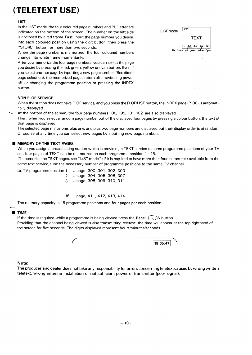# **(TELETEXTUSE)**

## LIST

**In the LIST mode, the four coloured page numbers and "L" letter are indicated on the bottom of the screen. The number on the left side LIST mode is** enclosed by a red frame. First, input the page number you desire, **TEXT into each coloured position using the digit button, then press the "STORE" button for more than two seconds. <sup>L</sup> <sup>301</sup> <sup>302</sup> <sup>303</sup> <sup>304</sup>**

**When the page number is memorized, the four coloured numbers change into white frame momentarily.**

**After you memorize the four page numbers, you can select the page you desire by pressing the red, green, yellow or cyan button. Even if you select another page by inputting a new page number, (See direct page selection), the memorized pages return after switching power off or changing the programme position or pressing the INDEX button.**

#### NON FLOF SERVICE

When the station does not have FLOF service, and you press the FLOF/LIST button, the INDEX page (P100) is automati**cally displayed.**

**At the bottom of the screen, the four page numbers 100, 199, 101, 102, are also displayed.**

Then, when you select a random page number out of the displayed four pages by pressing a colour button, the text of **that page is displayed.**

The selected page minus one, plus one, and plus two page numbers are displayed but their display order is at random. **Of course at any time you can select new pages by inputting new page numbers.**

#### **MEMORY OF THE TEXT PAGES**

When you assign a broadcasting station which is providing a TEXT service to some programme positions of your TV **set, four pages of TEXT can be memorized on each programme position 1 -16.**

(To memorize the TEXT pages, see "LIST mode".) If it is required to have more than four instant text available from the **same text service, tune the necessary number of programme positions to the same TV channel.**

**i.e. TV programme position 1 . . . page, 300, 301, 302, 303**

**2 . . . page, 304, 305, 306, 307 3 . . . page, 308, 309, 310, 311**

**16 . ..page. 411,412,413,414**

**The memory capacity is 16 programme positions and four pages per each position.**

#### TIME  $\blacksquare$

**If the time is required while a programme is being viewed press the Recall ~/S button.**

Providing that the channel being viewed is also transmitting teletext, the time will appear at the top righthand of **the screen for five seconds. The digits displayed represent hours/minutes/seconds.**



#### **Note:**

The producer and dealer does not take any responsibility for errors concerning teletext caused by wrong written **teletext, wrong antenna installation or not sufficient power of transmitter (poor signal).**